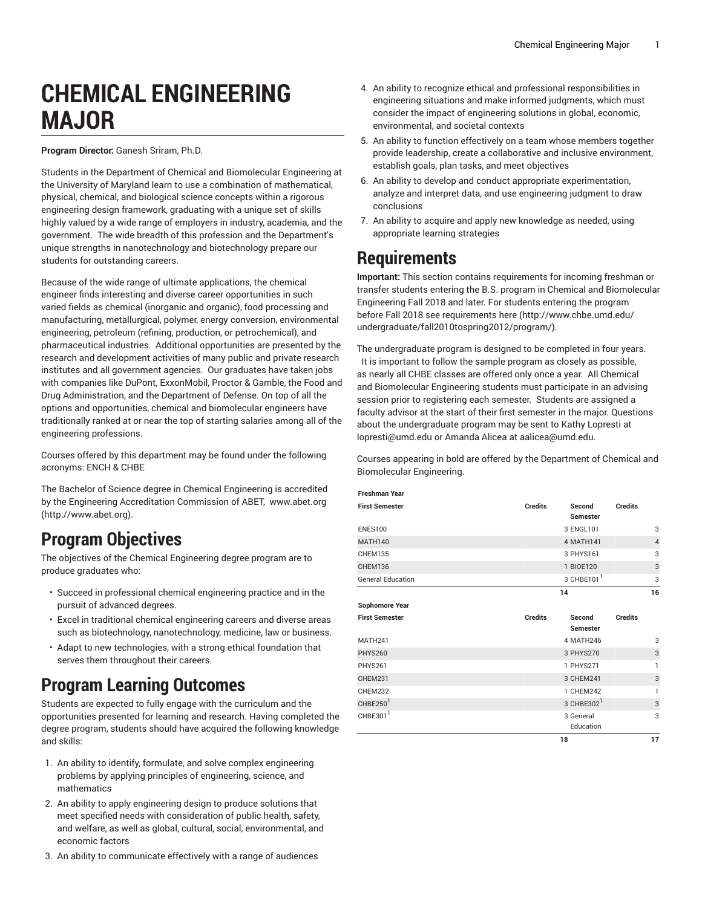# **CHEMICAL ENGINEERING MAJOR**

#### **Program Director:** Ganesh Sriram, Ph.D.

Students in the Department of Chemical and Biomolecular Engineering at the University of Maryland learn to use a combination of mathematical, physical, chemical, and biological science concepts within a rigorous engineering design framework, graduating with a unique set of skills highly valued by a wide range of employers in industry, academia, and the government. The wide breadth of this profession and the Department's unique strengths in nanotechnology and biotechnology prepare our students for outstanding careers.

Because of the wide range of ultimate applications, the chemical engineer finds interesting and diverse career opportunities in such varied fields as chemical (inorganic and organic), food processing and manufacturing, metallurgical, polymer, energy conversion, environmental engineering, petroleum (refining, production, or petrochemical), and pharmaceutical industries. Additional opportunities are presented by the research and development activities of many public and private research institutes and all government agencies. Our graduates have taken jobs with companies like DuPont, ExxonMobil, Proctor & Gamble, the Food and Drug Administration, and the Department of Defense. On top of all the options and opportunities, chemical and biomolecular engineers have traditionally ranked at or near the top of starting salaries among all of the engineering professions.

Courses offered by this department may be found under the following acronyms: ENCH & CHBE

The Bachelor of Science degree in Chemical Engineering is accredited by the Engineering Accreditation Commission of ABET, [www.abet.org](http://www.abet.org) ([http://www.abet.org\)](http://www.abet.org).

## **Program Objectives**

The objectives of the Chemical Engineering degree program are to produce graduates who:

- Succeed in professional chemical engineering practice and in the pursuit of advanced degrees.
- Excel in traditional chemical engineering careers and diverse areas such as biotechnology, nanotechnology, medicine, law or business.
- Adapt to new technologies, with a strong ethical foundation that serves them throughout their careers.

### **Program Learning Outcomes**

Students are expected to fully engage with the curriculum and the opportunities presented for learning and research. Having completed the degree program, students should have acquired the following knowledge and skills:

- 1. An ability to identify, formulate, and solve complex engineering problems by applying principles of engineering, science, and mathematics
- 2. An ability to apply engineering design to produce solutions that meet specified needs with consideration of public health, safety, and welfare, as well as global, cultural, social, environmental, and economic factors
- 3. An ability to communicate effectively with a range of audiences
- 4. An ability to recognize ethical and professional responsibilities in engineering situations and make informed judgments, which must consider the impact of engineering solutions in global, economic, environmental, and societal contexts
- 5. An ability to function effectively on a team whose members together provide leadership, create a collaborative and inclusive environment, establish goals, plan tasks, and meet objectives
- 6. An ability to develop and conduct appropriate experimentation, analyze and interpret data, and use engineering judgment to draw conclusions
- 7. An ability to acquire and apply new knowledge as needed, using appropriate learning strategies

#### **Requirements**

**Important:** This section contains requirements for incoming freshman or transfer students entering the B.S. program in Chemical and Biomolecular Engineering Fall 2018 and later. For students entering the program before Fall 2018 see [requirements](http://www.chbe.umd.edu/undergraduate/fall2010tospring2012/program/) here ([http://www.chbe.umd.edu/](http://www.chbe.umd.edu/undergraduate/fall2010tospring2012/program/) [undergraduate/fall2010tospring2012/program/](http://www.chbe.umd.edu/undergraduate/fall2010tospring2012/program/)).

The undergraduate program is designed to be completed in four years. It is important to follow the sample program as closely as possible, as nearly all CHBE classes are offered only once a year. All Chemical and Biomolecular Engineering students must participate in an advising session prior to registering each semester. Students are assigned a faculty advisor at the start of their first semester in the major. Questions about the undergraduate program may be sent to Kathy Lopresti at [lopresti@umd.edu](mailto:lopresti@umd.edu) or Amanda Alicea at [aalicea@umd.edu.](mailto:aalicea@umd.edu)

Courses appearing in bold are offered by the Department of Chemical and Biomolecular Engineering.

| <b>Freshman Year</b>     |                |                           |                |                |
|--------------------------|----------------|---------------------------|----------------|----------------|
| <b>First Semester</b>    | <b>Credits</b> | Second<br><b>Semester</b> | <b>Credits</b> |                |
| <b>ENES100</b>           |                | 3 ENGL101                 |                | 3              |
| <b>MATH140</b>           |                | 4 MATH141                 |                | $\overline{4}$ |
| CHEM135                  |                | 3 PHYS161                 |                | 3              |
| CHEM136                  |                | 1 BIOE120                 |                | 3              |
| <b>General Education</b> |                | 3 CHBE101 <sup>1</sup>    |                | 3              |
|                          | 14             |                           |                | 16             |
| Sophomore Year           |                |                           |                |                |
| <b>First Semester</b>    | <b>Credits</b> | Second<br><b>Semester</b> | <b>Credits</b> |                |
| <b>MATH241</b>           |                | 4 MATH246                 |                | 3              |
| <b>PHYS260</b>           |                | 3 PHYS270                 |                | 3              |
| <b>PHYS261</b>           |                | 1 PHYS271                 |                | 1              |
| CHEM231                  |                | 3 CHEM241                 |                | 3              |
| <b>CHEM232</b>           |                | 1 CHEM242                 |                | 1              |
| CHBE250 <sup>1</sup>     |                | 3 CHBE302 <sup>1</sup>    |                | 3              |
| CHBE301 $1$              |                | 3 General                 |                | 3              |
|                          |                | Education                 |                |                |